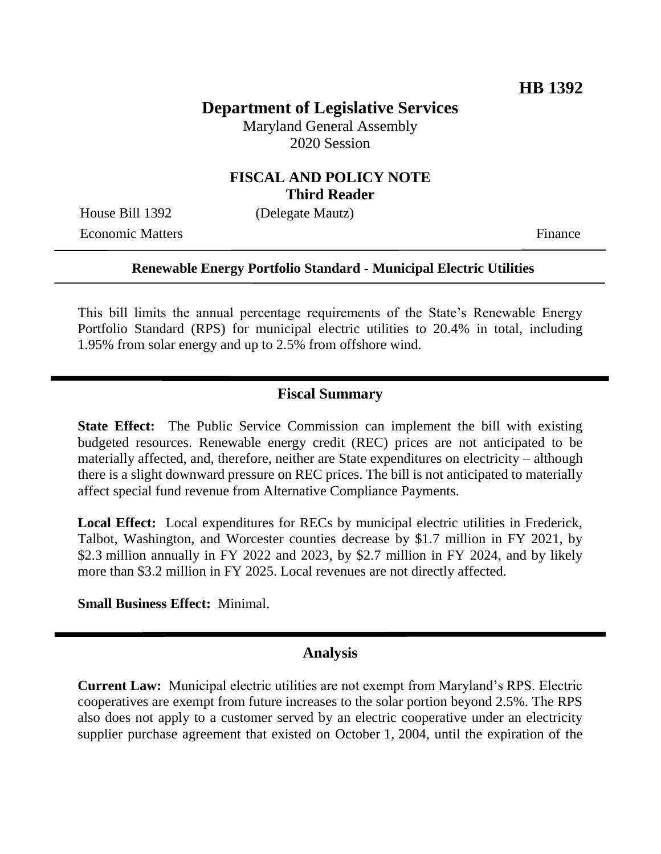## **Department of Legislative Services**

Maryland General Assembly 2020 Session

### **FISCAL AND POLICY NOTE Third Reader**

Economic Matters Finance

House Bill 1392 (Delegate Mautz)

#### **Renewable Energy Portfolio Standard - Municipal Electric Utilities**

This bill limits the annual percentage requirements of the State's Renewable Energy Portfolio Standard (RPS) for municipal electric utilities to 20.4% in total, including 1.95% from solar energy and up to 2.5% from offshore wind.

### **Fiscal Summary**

**State Effect:** The Public Service Commission can implement the bill with existing budgeted resources. Renewable energy credit (REC) prices are not anticipated to be materially affected, and, therefore, neither are State expenditures on electricity – although there is a slight downward pressure on REC prices. The bill is not anticipated to materially affect special fund revenue from Alternative Compliance Payments.

Local Effect: Local expenditures for RECs by municipal electric utilities in Frederick, Talbot, Washington, and Worcester counties decrease by \$1.7 million in FY 2021, by \$2.3 million annually in FY 2022 and 2023, by \$2.7 million in FY 2024, and by likely more than \$3.2 million in FY 2025. Local revenues are not directly affected.

**Small Business Effect:** Minimal.

#### **Analysis**

**Current Law:** Municipal electric utilities are not exempt from Maryland's RPS. Electric cooperatives are exempt from future increases to the solar portion beyond 2.5%. The RPS also does not apply to a customer served by an electric cooperative under an electricity supplier purchase agreement that existed on October 1, 2004, until the expiration of the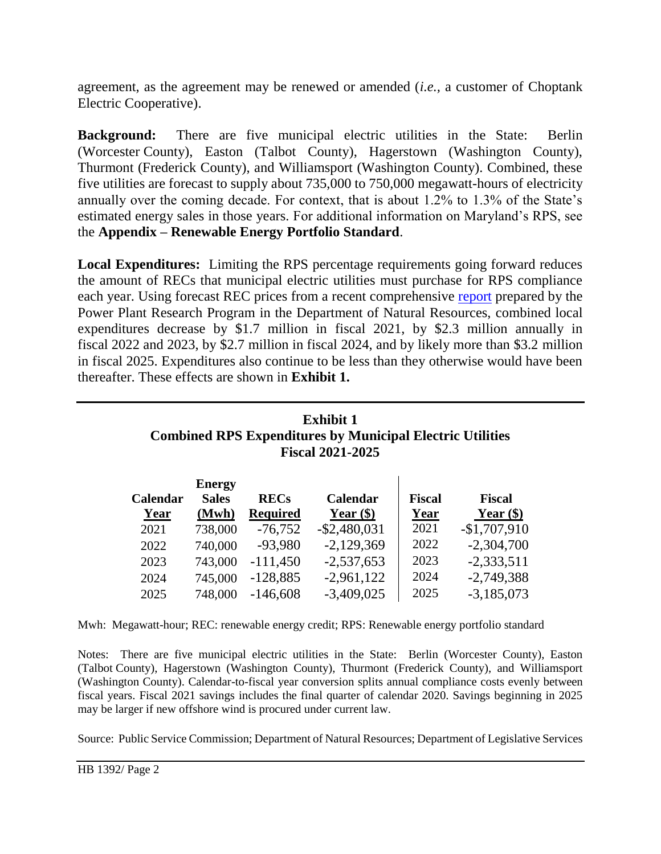agreement, as the agreement may be renewed or amended (*i.e.,* a customer of Choptank Electric Cooperative).

**Background:** There are five municipal electric utilities in the State: Berlin (Worcester County), Easton (Talbot County), Hagerstown (Washington County), Thurmont (Frederick County), and Williamsport (Washington County). Combined, these five utilities are forecast to supply about 735,000 to 750,000 megawatt-hours of electricity annually over the coming decade. For context, that is about 1.2% to 1.3% of the State's estimated energy sales in those years. For additional information on Maryland's RPS, see the **Appendix – Renewable Energy Portfolio Standard**.

**Local Expenditures:** Limiting the RPS percentage requirements going forward reduces the amount of RECs that municipal electric utilities must purchase for RPS compliance each year. Using forecast REC prices from a recent comprehensive [report](https://dnr.maryland.gov/pprp/Documents/FinalRPSReportDecember2019.pdf) prepared by the Power Plant Research Program in the Department of Natural Resources, combined local expenditures decrease by \$1.7 million in fiscal 2021, by \$2.3 million annually in fiscal 2022 and 2023, by \$2.7 million in fiscal 2024, and by likely more than \$3.2 million in fiscal 2025. Expenditures also continue to be less than they otherwise would have been thereafter. These effects are shown in **Exhibit 1.** 

# **Exhibit 1 Combined RPS Expenditures by Municipal Electric Utilities Fiscal 2021-2025**

 $\mathbf{r}$ 

|          | <b>Energy</b> |                 |                 |               |               |
|----------|---------------|-----------------|-----------------|---------------|---------------|
| Calendar | <b>Sales</b>  | <b>RECs</b>     | Calendar        | <b>Fiscal</b> | <b>Fiscal</b> |
| Year     | (Mwh)         | <b>Required</b> | Year $(\$)$     | Year          | Year $(\$)$   |
| 2021     | 738,000       | $-76,752$       | $-$ \$2,480,031 | 2021          | $-$1,707,910$ |
| 2022     | 740,000       | $-93,980$       | $-2,129,369$    | 2022          | $-2,304,700$  |
| 2023     | 743,000       | $-111,450$      | $-2,537,653$    | 2023          | $-2,333,511$  |
| 2024     | 745,000       | $-128,885$      | $-2,961,122$    | 2024          | $-2,749,388$  |
| 2025     | 748,000       | $-146,608$      | $-3,409,025$    | 2025          | $-3,185,073$  |

Mwh: Megawatt-hour; REC: renewable energy credit; RPS: Renewable energy portfolio standard

Notes: There are five municipal electric utilities in the State: Berlin (Worcester County), Easton (Talbot County), Hagerstown (Washington County), Thurmont (Frederick County), and Williamsport (Washington County). Calendar-to-fiscal year conversion splits annual compliance costs evenly between fiscal years. Fiscal 2021 savings includes the final quarter of calendar 2020. Savings beginning in 2025 may be larger if new offshore wind is procured under current law.

Source: Public Service Commission; Department of Natural Resources; Department of Legislative Services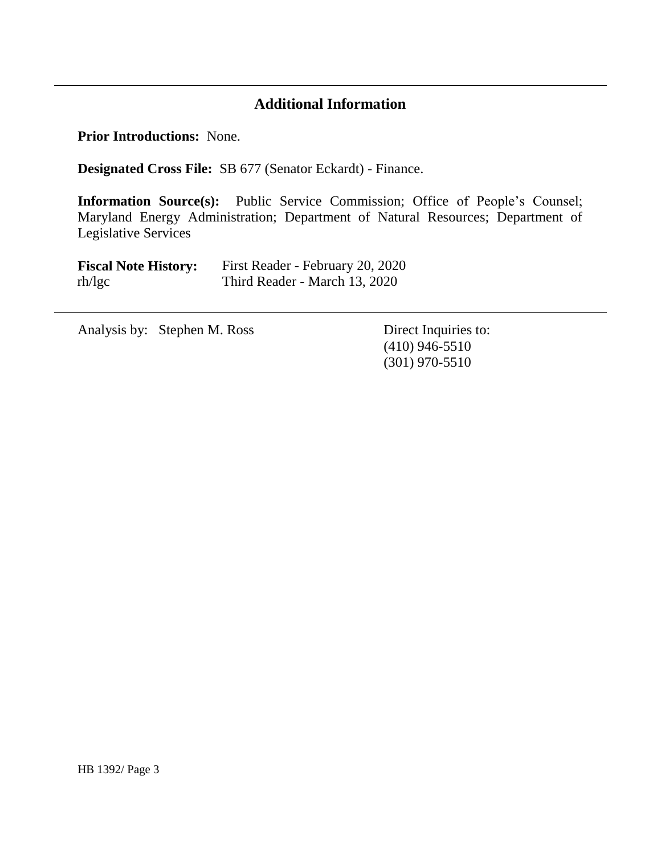# **Additional Information**

**Prior Introductions:** None.

-

**Designated Cross File:** SB 677 (Senator Eckardt) - Finance.

**Information Source(s):** Public Service Commission; Office of People's Counsel; Maryland Energy Administration; Department of Natural Resources; Department of Legislative Services

| <b>Fiscal Note History:</b> | First Reader - February 20, 2020 |
|-----------------------------|----------------------------------|
| rh/lgc                      | Third Reader - March 13, 2020    |

Analysis by: Stephen M. Ross Direct Inquiries to:

(410) 946-5510 (301) 970-5510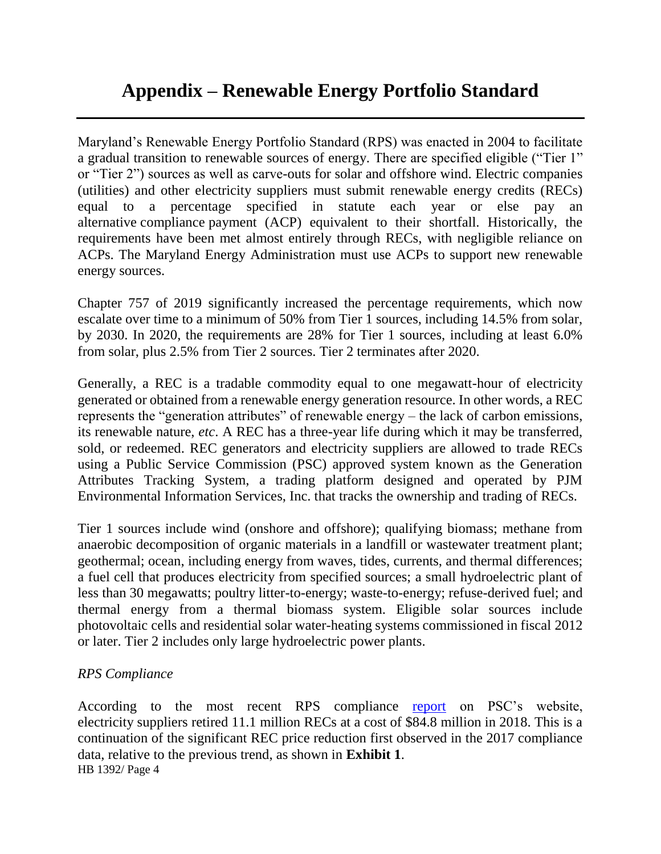Maryland's Renewable Energy Portfolio Standard (RPS) was enacted in 2004 to facilitate a gradual transition to renewable sources of energy. There are specified eligible ("Tier 1" or "Tier 2") sources as well as carve-outs for solar and offshore wind. Electric companies (utilities) and other electricity suppliers must submit renewable energy credits (RECs) equal to a percentage specified in statute each year or else pay an alternative compliance payment (ACP) equivalent to their shortfall. Historically, the requirements have been met almost entirely through RECs, with negligible reliance on ACPs. The Maryland Energy Administration must use ACPs to support new renewable energy sources.

Chapter 757 of 2019 significantly increased the percentage requirements, which now escalate over time to a minimum of 50% from Tier 1 sources, including 14.5% from solar, by 2030. In 2020, the requirements are 28% for Tier 1 sources, including at least 6.0% from solar, plus 2.5% from Tier 2 sources. Tier 2 terminates after 2020.

Generally, a REC is a tradable commodity equal to one megawatt-hour of electricity generated or obtained from a renewable energy generation resource. In other words, a REC represents the "generation attributes" of renewable energy – the lack of carbon emissions, its renewable nature, *etc*. A REC has a three-year life during which it may be transferred, sold, or redeemed. REC generators and electricity suppliers are allowed to trade RECs using a Public Service Commission (PSC) approved system known as the Generation Attributes Tracking System, a trading platform designed and operated by PJM Environmental Information Services, Inc. that tracks the ownership and trading of RECs.

Tier 1 sources include wind (onshore and offshore); qualifying biomass; methane from anaerobic decomposition of organic materials in a landfill or wastewater treatment plant; geothermal; ocean, including energy from waves, tides, currents, and thermal differences; a fuel cell that produces electricity from specified sources; a small hydroelectric plant of less than 30 megawatts; poultry litter-to-energy; waste-to-energy; refuse-derived fuel; and thermal energy from a thermal biomass system. Eligible solar sources include photovoltaic cells and residential solar water-heating systems commissioned in fiscal 2012 or later. Tier 2 includes only large hydroelectric power plants.

## *RPS Compliance*

HB 1392/ Page 4 According to the most recent RPS compliance [report](https://www.psc.state.md.us/wp-content/uploads/CY18-RPS-Annual-Report.pdf) on PSC's website, electricity suppliers retired 11.1 million RECs at a cost of \$84.8 million in 2018. This is a continuation of the significant REC price reduction first observed in the 2017 compliance data, relative to the previous trend, as shown in **Exhibit 1**.